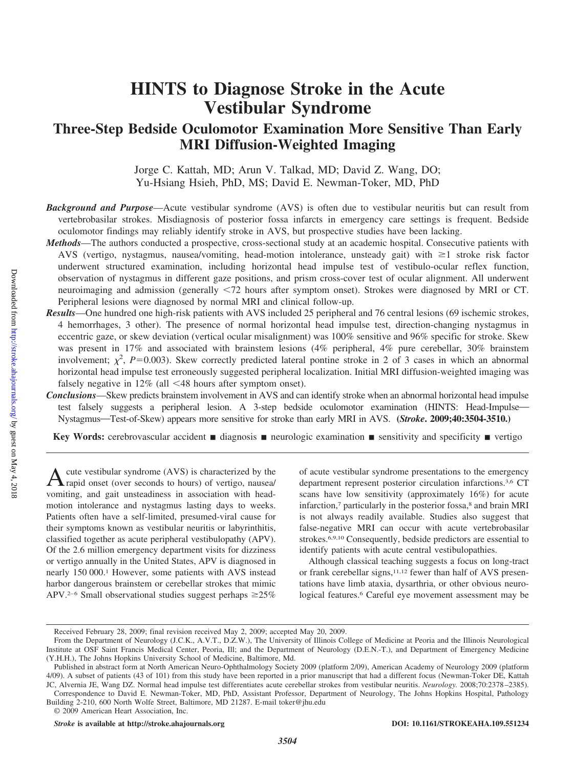# **HINTS to Diagnose Stroke in the Acute Vestibular Syndrome**

# **Three-Step Bedside Oculomotor Examination More Sensitive Than Early MRI Diffusion-Weighted Imaging**

Jorge C. Kattah, MD; Arun V. Talkad, MD; David Z. Wang, DO; Yu-Hsiang Hsieh, PhD, MS; David E. Newman-Toker, MD, PhD

*Background and Purpose*—Acute vestibular syndrome (AVS) is often due to vestibular neuritis but can result from vertebrobasilar strokes. Misdiagnosis of posterior fossa infarcts in emergency care settings is frequent. Bedside oculomotor findings may reliably identify stroke in AVS, but prospective studies have been lacking.

- *Methods*—The authors conducted a prospective, cross-sectional study at an academic hospital. Consecutive patients with AVS (vertigo, nystagmus, nausea/vomiting, head-motion intolerance, unsteady gait) with  $\geq 1$  stroke risk factor underwent structured examination, including horizontal head impulse test of vestibulo-ocular reflex function, observation of nystagmus in different gaze positions, and prism cross-cover test of ocular alignment. All underwent neuroimaging and admission (generally <72 hours after symptom onset). Strokes were diagnosed by MRI or CT. Peripheral lesions were diagnosed by normal MRI and clinical follow-up.
- *Results*—One hundred one high-risk patients with AVS included 25 peripheral and 76 central lesions (69 ischemic strokes, 4 hemorrhages, 3 other). The presence of normal horizontal head impulse test, direction-changing nystagmus in eccentric gaze, or skew deviation (vertical ocular misalignment) was 100% sensitive and 96% specific for stroke. Skew was present in 17% and associated with brainstem lesions (4% peripheral, 4% pure cerebellar, 30% brainstem involvement;  $\chi^2$ , *P*=0.003). Skew correctly predicted lateral pontine stroke in 2 of 3 cases in which an abnormal horizontal head impulse test erroneously suggested peripheral localization. Initial MRI diffusion-weighted imaging was falsely negative in  $12\%$  (all  $\leq 48$  hours after symptom onset).
- *Conclusions*—Skew predicts brainstem involvement in AVS and can identify stroke when an abnormal horizontal head impulse test falsely suggests a peripheral lesion. A 3-step bedside oculomotor examination (HINTS: Head-Impulse-Nystagmus—Test-of-Skew) appears more sensitive for stroke than early MRI in AVS. **(***Stroke***. 2009;40:3504-3510.)**

**Key Words:** cerebrovascular accident **a** diagnosis **neurologic examination sensitivity and specificity vertigo** 

A cute vestibular syndrome (AVS) is characterized by the rapid onset (over seconds to hours) of vertigo, nausea vomiting, and gait unsteadiness in association with headmotion intolerance and nystagmus lasting days to weeks. Patients often have a self-limited, presumed-viral cause for their symptoms known as vestibular neuritis or labyrinthitis, classified together as acute peripheral vestibulopathy (APV). Of the 2.6 million emergency department visits for dizziness or vertigo annually in the United States, APV is diagnosed in nearly 150 000.1 However, some patients with AVS instead harbor dangerous brainstem or cerebellar strokes that mimic APV.<sup>2–6</sup> Small observational studies suggest perhaps  $\geq 25\%$  of acute vestibular syndrome presentations to the emergency department represent posterior circulation infarctions.3,6 CT scans have low sensitivity (approximately 16%) for acute infarction,<sup>7</sup> particularly in the posterior fossa,<sup>8</sup> and brain MRI is not always readily available. Studies also suggest that false-negative MRI can occur with acute vertebrobasilar strokes.6,9,10 Consequently, bedside predictors are essential to identify patients with acute central vestibulopathies.

Although classical teaching suggests a focus on long-tract or frank cerebellar signs,<sup>11,12</sup> fewer than half of AVS presentations have limb ataxia, dysarthria, or other obvious neurological features.6 Careful eye movement assessment may be

Received February 28, 2009; final revision received May 2, 2009; accepted May 20, 2009.

From the Department of Neurology (J.C.K., A.V.T., D.Z.W.), The University of Illinois College of Medicine at Peoria and the Illinois Neurological Institute at OSF Saint Francis Medical Center, Peoria, Ill; and the Department of Neurology (D.E.N.-T.), and Department of Emergency Medicine (Y.H.H.), The Johns Hopkins University School of Medicine, Baltimore, Md.

Published in abstract form at North American Neuro-Ophthalmology Society 2009 (platform 2/09), American Academy of Neurology 2009 (platform 4/09). A subset of patients (43 of 101) from this study have been reported in a prior manuscript that had a different focus (Newman-Toker DE, Kattah JC, Alvernia JE, Wang DZ. Normal head impulse test differentiates acute cerebellar strokes from vestibular neuritis. *Neurology.* 2008;70:2378 –2385).

Correspondence to David E. Newman-Toker, MD, PhD, Assistant Professor, Department of Neurology, The Johns Hopkins Hospital, Pathology Building 2-210, 600 North Wolfe Street, Baltimore, MD 21287. E-mail toker@jhu.edu © 2009 American Heart Association, Inc.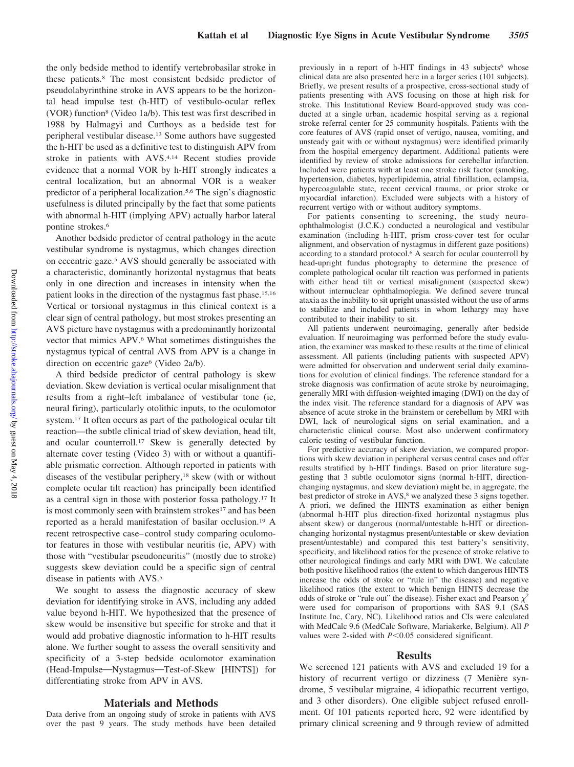the only bedside method to identify vertebrobasilar stroke in these patients.8 The most consistent bedside predictor of pseudolabyrinthine stroke in AVS appears to be the horizontal head impulse test (h-HIT) of vestibulo-ocular reflex (VOR) function8 (Video 1a/b). This test was first described in 1988 by Halmagyi and Curthoys as a bedside test for peripheral vestibular disease.13 Some authors have suggested the h-HIT be used as a definitive test to distinguish APV from stroke in patients with AVS.4,14 Recent studies provide evidence that a normal VOR by h-HIT strongly indicates a central localization, but an abnormal VOR is a weaker predictor of a peripheral localization.5,6 The sign's diagnostic usefulness is diluted principally by the fact that some patients with abnormal h-HIT (implying APV) actually harbor lateral pontine strokes.6

Another bedside predictor of central pathology in the acute vestibular syndrome is nystagmus, which changes direction on eccentric gaze.5 AVS should generally be associated with a characteristic, dominantly horizontal nystagmus that beats only in one direction and increases in intensity when the patient looks in the direction of the nystagmus fast phase.15,16 Vertical or torsional nystagmus in this clinical context is a clear sign of central pathology, but most strokes presenting an AVS picture have nystagmus with a predominantly horizontal vector that mimics APV.6 What sometimes distinguishes the nystagmus typical of central AVS from APV is a change in direction on eccentric gaze<sup>6</sup> (Video 2a/b).

A third bedside predictor of central pathology is skew deviation. Skew deviation is vertical ocular misalignment that results from a right–left imbalance of vestibular tone (ie, neural firing), particularly otolithic inputs, to the oculomotor system.17 It often occurs as part of the pathological ocular tilt reaction—the subtle clinical triad of skew deviation, head tilt, and ocular counterroll.17 Skew is generally detected by alternate cover testing (Video 3) with or without a quantifiable prismatic correction. Although reported in patients with diseases of the vestibular periphery,<sup>18</sup> skew (with or without complete ocular tilt reaction) has principally been identified as a central sign in those with posterior fossa pathology.17 It is most commonly seen with brainstem strokes<sup>17</sup> and has been reported as a herald manifestation of basilar occlusion.19 A recent retrospective case– control study comparing oculomotor features in those with vestibular neuritis (ie, APV) with those with "vestibular pseudoneuritis" (mostly due to stroke) suggests skew deviation could be a specific sign of central disease in patients with AVS.5

We sought to assess the diagnostic accuracy of skew deviation for identifying stroke in AVS, including any added value beyond h-HIT. We hypothesized that the presence of skew would be insensitive but specific for stroke and that it would add probative diagnostic information to h-HIT results alone. We further sought to assess the overall sensitivity and specificity of a 3-step bedside oculomotor examination (Head-Impulse—Nystagmus—Test-of-Skew [HINTS]) for differentiating stroke from APV in AVS.

#### **Materials and Methods**

Data derive from an ongoing study of stroke in patients with AVS over the past 9 years. The study methods have been detailed previously in a report of h-HIT findings in  $43$  subjects<sup>6</sup> whose clinical data are also presented here in a larger series (101 subjects). Briefly, we present results of a prospective, cross-sectional study of patients presenting with AVS focusing on those at high risk for stroke. This Institutional Review Board-approved study was conducted at a single urban, academic hospital serving as a regional stroke referral center for 25 community hospitals. Patients with the core features of AVS (rapid onset of vertigo, nausea, vomiting, and unsteady gait with or without nystagmus) were identified primarily from the hospital emergency department. Additional patients were identified by review of stroke admissions for cerebellar infarction. Included were patients with at least one stroke risk factor (smoking, hypertension, diabetes, hyperlipidemia, atrial fibrillation, eclampsia, hypercoagulable state, recent cervical trauma, or prior stroke or myocardial infarction). Excluded were subjects with a history of recurrent vertigo with or without auditory symptoms.

For patients consenting to screening, the study neuroophthalmologist (J.C.K.) conducted a neurological and vestibular examination (including h-HIT, prism cross-cover test for ocular alignment, and observation of nystagmus in different gaze positions) according to a standard protocol.6 A search for ocular counterroll by head-upright fundus photography to determine the presence of complete pathological ocular tilt reaction was performed in patients with either head tilt or vertical misalignment (suspected skew) without internuclear ophthalmoplegia. We defined severe truncal ataxia as the inability to sit upright unassisted without the use of arms to stabilize and included patients in whom lethargy may have contributed to their inability to sit.

All patients underwent neuroimaging, generally after bedside evaluation. If neuroimaging was performed before the study evaluation, the examiner was masked to these results at the time of clinical assessment. All patients (including patients with suspected APV) were admitted for observation and underwent serial daily examinations for evolution of clinical findings. The reference standard for a stroke diagnosis was confirmation of acute stroke by neuroimaging, generally MRI with diffusion-weighted imaging (DWI) on the day of the index visit. The reference standard for a diagnosis of APV was absence of acute stroke in the brainstem or cerebellum by MRI with DWI, lack of neurological signs on serial examination, and a characteristic clinical course. Most also underwent confirmatory caloric testing of vestibular function.

For predictive accuracy of skew deviation, we compared proportions with skew deviation in peripheral versus central cases and offer results stratified by h-HIT findings. Based on prior literature suggesting that 3 subtle oculomotor signs (normal h-HIT, directionchanging nystagmus, and skew deviation) might be, in aggregate, the best predictor of stroke in AVS,<sup>8</sup> we analyzed these 3 signs together. A priori, we defined the HINTS examination as either benign (abnormal h-HIT plus direction-fixed horizontal nystagmus plus absent skew) or dangerous (normal/untestable h-HIT or directionchanging horizontal nystagmus present/untestable or skew deviation present/untestable) and compared this test battery's sensitivity, specificity, and likelihood ratios for the presence of stroke relative to other neurological findings and early MRI with DWI. We calculate both positive likelihood ratios (the extent to which dangerous HINTS increase the odds of stroke or "rule in" the disease) and negative likelihood ratios (the extent to which benign HINTS decrease the odds of stroke or "rule out" the disease). Fisher exact and Pearson  $\chi^2$ were used for comparison of proportions with SAS 9.1 (SAS Institute Inc, Cary, NC). Likelihood ratios and CIs were calculated with MedCalc 9.6 (MedCalc Software, Mariakerke, Belgium). All *P* values were 2-sided with  $P<0.05$  considered significant.

#### **Results**

We screened 121 patients with AVS and excluded 19 for a history of recurrent vertigo or dizziness (7 Menière syndrome, 5 vestibular migraine, 4 idiopathic recurrent vertigo, and 3 other disorders). One eligible subject refused enrollment. Of 101 patients reported here, 92 were identified by primary clinical screening and 9 through review of admitted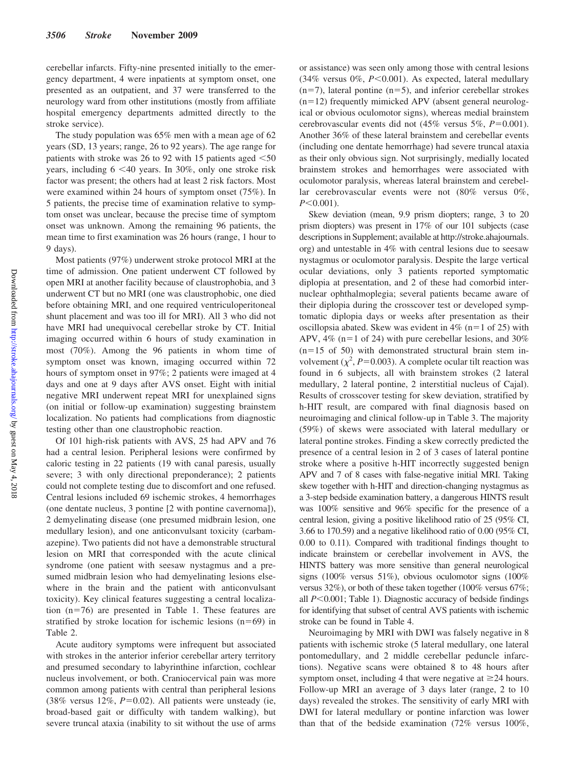cerebellar infarcts. Fifty-nine presented initially to the emergency department, 4 were inpatients at symptom onset, one presented as an outpatient, and 37 were transferred to the neurology ward from other institutions (mostly from affiliate hospital emergency departments admitted directly to the stroke service).

The study population was 65% men with a mean age of 62 years (SD, 13 years; range, 26 to 92 years). The age range for patients with stroke was 26 to 92 with 15 patients aged  $\leq 50$ years, including  $6 < 40$  years. In 30%, only one stroke risk factor was present; the others had at least 2 risk factors. Most were examined within 24 hours of symptom onset (75%). In 5 patients, the precise time of examination relative to symptom onset was unclear, because the precise time of symptom onset was unknown. Among the remaining 96 patients, the mean time to first examination was 26 hours (range, 1 hour to 9 days).

Most patients (97%) underwent stroke protocol MRI at the time of admission. One patient underwent CT followed by open MRI at another facility because of claustrophobia, and 3 underwent CT but no MRI (one was claustrophobic, one died before obtaining MRI, and one required ventriculoperitoneal shunt placement and was too ill for MRI). All 3 who did not have MRI had unequivocal cerebellar stroke by CT. Initial imaging occurred within 6 hours of study examination in most (70%). Among the 96 patients in whom time of symptom onset was known, imaging occurred within 72 hours of symptom onset in 97%; 2 patients were imaged at 4 days and one at 9 days after AVS onset. Eight with initial negative MRI underwent repeat MRI for unexplained signs (on initial or follow-up examination) suggesting brainstem localization. No patients had complications from diagnostic testing other than one claustrophobic reaction.

Of 101 high-risk patients with AVS, 25 had APV and 76 had a central lesion. Peripheral lesions were confirmed by caloric testing in 22 patients (19 with canal paresis, usually severe; 3 with only directional preponderance); 2 patients could not complete testing due to discomfort and one refused. Central lesions included 69 ischemic strokes, 4 hemorrhages (one dentate nucleus, 3 pontine [2 with pontine cavernoma]), 2 demyelinating disease (one presumed midbrain lesion, one medullary lesion), and one anticonvulsant toxicity (carbamazepine). Two patients did not have a demonstrable structural lesion on MRI that corresponded with the acute clinical syndrome (one patient with seesaw nystagmus and a presumed midbrain lesion who had demyelinating lesions elsewhere in the brain and the patient with anticonvulsant toxicity). Key clinical features suggesting a central localization (n=76) are presented in Table 1. These features are stratified by stroke location for ischemic lesions  $(n=69)$  in Table 2.

Acute auditory symptoms were infrequent but associated with strokes in the anterior inferior cerebellar artery territory and presumed secondary to labyrinthine infarction, cochlear nucleus involvement, or both. Craniocervical pain was more common among patients with central than peripheral lesions  $(38\%$  versus  $12\%, P=0.02)$ . All patients were unsteady (ie, broad-based gait or difficulty with tandem walking), but severe truncal ataxia (inability to sit without the use of arms or assistance) was seen only among those with central lesions (34% versus  $0\%$ ,  $P<0.001$ ). As expected, lateral medullary  $(n=7)$ , lateral pontine  $(n=5)$ , and inferior cerebellar strokes  $(n=12)$  frequently mimicked APV (absent general neurological or obvious oculomotor signs), whereas medial brainstem cerebrovascular events did not (45% versus 5%,  $P=0.001$ ). Another 36% of these lateral brainstem and cerebellar events (including one dentate hemorrhage) had severe truncal ataxia as their only obvious sign. Not surprisingly, medially located brainstem strokes and hemorrhages were associated with oculomotor paralysis, whereas lateral brainstem and cerebellar cerebrovascular events were not (80% versus 0%,  $P \leq 0.001$ .

Skew deviation (mean, 9.9 prism diopters; range, 3 to 20 prism diopters) was present in 17% of our 101 subjects (case descriptions in Supplement; available at http://stroke.ahajournals. org) and untestable in 4% with central lesions due to seesaw nystagmus or oculomotor paralysis. Despite the large vertical ocular deviations, only 3 patients reported symptomatic diplopia at presentation, and 2 of these had comorbid internuclear ophthalmoplegia; several patients became aware of their diplopia during the crosscover test or developed symptomatic diplopia days or weeks after presentation as their oscillopsia abated. Skew was evident in  $4\%$  (n=1 of 25) with APV,  $4\%$  (n=1 of 24) with pure cerebellar lesions, and  $30\%$  $(n=15 \text{ of } 50)$  with demonstrated structural brain stem involvement  $(\chi^2, P=0.003)$ . A complete ocular tilt reaction was found in 6 subjects, all with brainstem strokes (2 lateral medullary, 2 lateral pontine, 2 interstitial nucleus of Cajal). Results of crosscover testing for skew deviation, stratified by h-HIT result, are compared with final diagnosis based on neuroimaging and clinical follow-up in Table 3. The majority (59%) of skews were associated with lateral medullary or lateral pontine strokes. Finding a skew correctly predicted the presence of a central lesion in 2 of 3 cases of lateral pontine stroke where a positive h-HIT incorrectly suggested benign APV and 7 of 8 cases with false-negative initial MRI. Taking skew together with h-HIT and direction-changing nystagmus as a 3-step bedside examination battery, a dangerous HINTS result was 100% sensitive and 96% specific for the presence of a central lesion, giving a positive likelihood ratio of 25 (95% CI, 3.66 to 170.59) and a negative likelihood ratio of 0.00 (95% CI, 0.00 to 0.11). Compared with traditional findings thought to indicate brainstem or cerebellar involvement in AVS, the HINTS battery was more sensitive than general neurological signs (100% versus 51%), obvious oculomotor signs (100% versus 32%), or both of these taken together (100% versus 67%; all *P*<0.001; Table 1). Diagnostic accuracy of bedside findings for identifying that subset of central AVS patients with ischemic stroke can be found in Table 4.

Neuroimaging by MRI with DWI was falsely negative in 8 patients with ischemic stroke (5 lateral medullary, one lateral pontomedullary, and 2 middle cerebellar peduncle infarctions). Negative scans were obtained 8 to 48 hours after symptom onset, including 4 that were negative at  $\geq$  24 hours. Follow-up MRI an average of 3 days later (range, 2 to 10 days) revealed the strokes. The sensitivity of early MRI with DWI for lateral medullary or pontine infarction was lower than that of the bedside examination (72% versus 100%,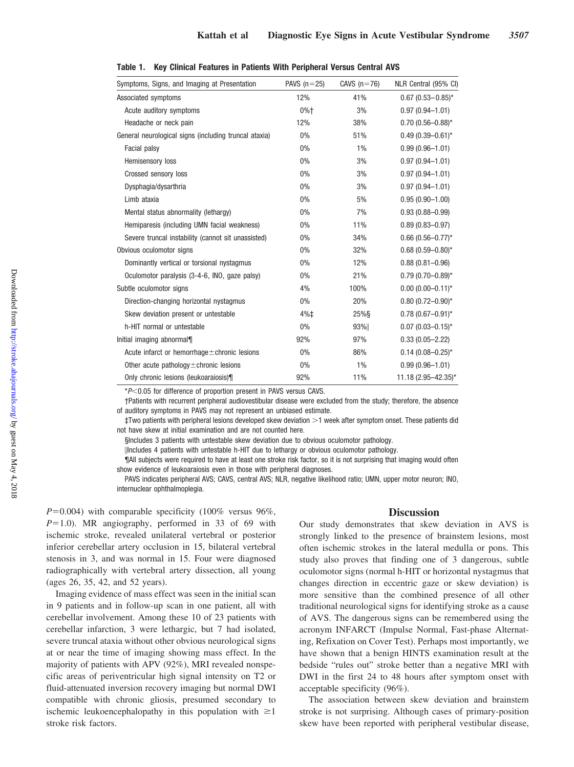| Symptoms, Signs, and Imaging at Presentation          | PAVS $(n=25)$ | CAVS $(n=76)$ | NLR Central (95% CI)    |
|-------------------------------------------------------|---------------|---------------|-------------------------|
| Associated symptoms                                   | 12%           | 41%           | $0.67$ (0.53-0.85)*     |
| Acute auditory symptoms                               | 0%†           | 3%            | $0.97(0.94 - 1.01)$     |
| Headache or neck pain                                 | 12%           | 38%           | $0.70(0.56 - 0.88)^*$   |
| General neurological signs (including truncal ataxia) | $0\%$         | 51%           | $0.49(0.39 - 0.61)^*$   |
| Facial palsy                                          | 0%            | 1%            | $0.99(0.96 - 1.01)$     |
| Hemisensory loss                                      | $0\%$         | 3%            | $0.97(0.94 - 1.01)$     |
| Crossed sensory loss                                  | $0\%$         | 3%            | $0.97(0.94 - 1.01)$     |
| Dysphagia/dysarthria                                  | $0\%$         | 3%            | $0.97(0.94 - 1.01)$     |
| Limb ataxia                                           | $0\%$         | 5%            | $0.95(0.90 - 1.00)$     |
| Mental status abnormality (lethargy)                  | 0%            | 7%            | $0.93(0.88 - 0.99)$     |
| Hemiparesis (including UMN facial weakness)           | 0%            | 11%           | $0.89(0.83 - 0.97)$     |
| Severe truncal instability (cannot sit unassisted)    | 0%            | 34%           | $0.66$ (0.56-0.77)*     |
| Obvious oculomotor signs                              | $0\%$         | 32%           | $0.68(0.59 - 0.80)$ *   |
| Dominantly vertical or torsional nystagmus            | $0\%$         | 12%           | $0.88(0.81 - 0.96)$     |
| Oculomotor paralysis (3-4-6, INO, gaze palsy)         | $0\%$         | 21%           | $0.79(0.70 - 0.89)^{*}$ |
| Subtle oculomotor signs                               | 4%            | 100%          | $0.00(0.00 - 0.11)^{*}$ |
| Direction-changing horizontal nystagmus               | $0\%$         | 20%           | $0.80(0.72 - 0.90)^{*}$ |
| Skew deviation present or untestable                  | 4%‡           | $25%$ §       | $0.78(0.67 - 0.91)^*$   |
| h-HIT normal or untestable                            | $0\%$         | 93%           | $0.07(0.03 - 0.15)^*$   |
| Initial imaging abnormal¶                             | 92%           | 97%           | $0.33(0.05 - 2.22)$     |
| Acute infarct or hemorrhage $\pm$ chronic lesions     | $0\%$         | 86%           | $0.14(0.08 - 0.25)^{*}$ |
| Other acute pathology $\pm$ chronic lesions           | $0\%$         | 1%            | $0.99(0.96 - 1.01)$     |
| Only chronic lesions (leukoaraiosis)¶                 | 92%           | 11%           | 11.18 (2.95-42.35)*     |

| Table 1. Key Clinical Features in Patients With Peripheral Versus Central AVS |  |
|-------------------------------------------------------------------------------|--|
|-------------------------------------------------------------------------------|--|

\* $P$ <0.05 for difference of proportion present in PAVS versus CAVS.

†Patients with recurrent peripheral audiovestibular disease were excluded from the study; therefore, the absence of auditory symptoms in PAVS may not represent an unbiased estimate.

‡Two patients with peripheral lesions developed skew deviation 1 week after symptom onset. These patients did not have skew at initial examination and are not counted here.

§Includes 3 patients with untestable skew deviation due to obvious oculomotor pathology.

-Includes 4 patients with untestable h-HIT due to lethargy or obvious oculomotor pathology.

¶All subjects were required to have at least one stroke risk factor, so it is not surprising that imaging would often show evidence of leukoaraiosis even in those with peripheral diagnoses.

PAVS indicates peripheral AVS; CAVS, central AVS; NLR, negative likelihood ratio; UMN, upper motor neuron; INO, internuclear ophthalmoplegia.

 $P=0.004$ ) with comparable specificity (100% versus 96%,  $P=1.0$ ). MR angiography, performed in 33 of 69 with ischemic stroke, revealed unilateral vertebral or posterior inferior cerebellar artery occlusion in 15, bilateral vertebral stenosis in 3, and was normal in 15. Four were diagnosed radiographically with vertebral artery dissection, all young (ages 26, 35, 42, and 52 years).

Imaging evidence of mass effect was seen in the initial scan in 9 patients and in follow-up scan in one patient, all with cerebellar involvement. Among these 10 of 23 patients with cerebellar infarction, 3 were lethargic, but 7 had isolated, severe truncal ataxia without other obvious neurological signs at or near the time of imaging showing mass effect. In the majority of patients with APV (92%), MRI revealed nonspecific areas of periventricular high signal intensity on T2 or fluid-attenuated inversion recovery imaging but normal DWI compatible with chronic gliosis, presumed secondary to ischemic leukoencephalopathy in this population with  $\geq 1$ stroke risk factors.

#### **Discussion**

Our study demonstrates that skew deviation in AVS is strongly linked to the presence of brainstem lesions, most often ischemic strokes in the lateral medulla or pons. This study also proves that finding one of 3 dangerous, subtle oculomotor signs (normal h-HIT or horizontal nystagmus that changes direction in eccentric gaze or skew deviation) is more sensitive than the combined presence of all other traditional neurological signs for identifying stroke as a cause of AVS. The dangerous signs can be remembered using the acronym INFARCT (Impulse Normal, Fast-phase Alternating, Refixation on Cover Test). Perhaps most importantly, we have shown that a benign HINTS examination result at the bedside "rules out" stroke better than a negative MRI with DWI in the first 24 to 48 hours after symptom onset with acceptable specificity (96%).

The association between skew deviation and brainstem stroke is not surprising. Although cases of primary-position skew have been reported with peripheral vestibular disease,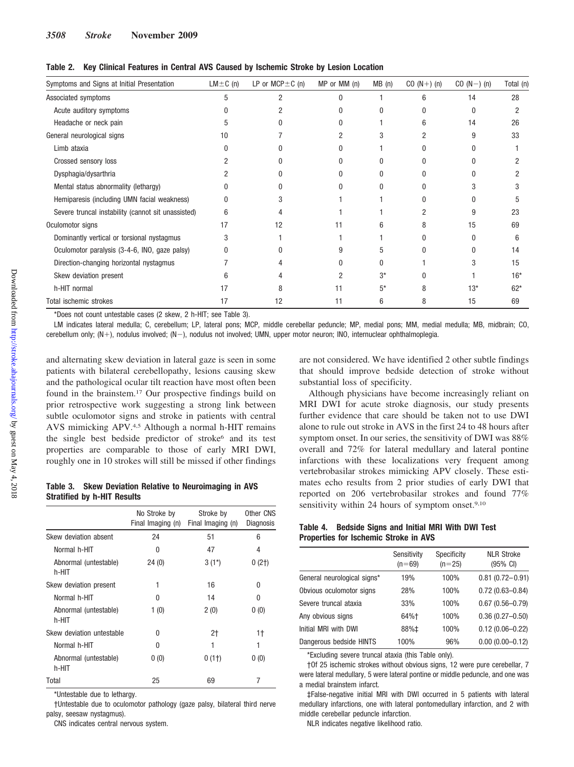| Symptoms and Signs at Initial Presentation         | $LM \pm C$ (n) | LP or $MCP \pm C$ (n) | MP or MM (n) | MB(n) | $CO (N+) (n)$ | $CO (N-) (n)$ | Total (n) |
|----------------------------------------------------|----------------|-----------------------|--------------|-------|---------------|---------------|-----------|
| Associated symptoms                                | 5              | 2                     | U            |       | 6             | 14            | 28        |
| Acute auditory symptoms                            |                |                       |              |       |               | $\Omega$      |           |
| Headache or neck pain                              | 5              |                       |              |       | հ             | 14            | 26        |
| General neurological signs                         | 10             |                       |              |       |               | 9             | 33        |
| Limb ataxia                                        |                |                       |              |       |               | <sup>0</sup>  |           |
| Crossed sensory loss                               |                |                       |              |       |               | <sup>0</sup>  |           |
| Dysphagia/dysarthria                               |                |                       |              |       |               | U             |           |
| Mental status abnormality (lethargy)               |                |                       |              |       |               |               |           |
| Hemiparesis (including UMN facial weakness)        | N              |                       |              |       |               |               |           |
| Severe truncal instability (cannot sit unassisted) | 6              |                       |              |       |               | 9             | 23        |
| Oculomotor signs                                   | 17             | 12                    | 11           |       |               | 15            | 69        |
| Dominantly vertical or torsional nystagmus         | 3              |                       |              |       |               | 0             | 6         |
| Oculomotor paralysis (3-4-6, INO, gaze palsy)      |                |                       |              |       |               | 0             | 14        |
| Direction-changing horizontal nystagmus            |                |                       |              | N     |               |               | 15        |
| Skew deviation present                             | հ              |                       |              | 3*    |               |               | $16*$     |
| h-HIT normal                                       | 17             | 8                     | 11           | 5*    | 8             | $13*$         | $62*$     |
| Total ischemic strokes                             | 17             | 12                    | 11           | 6     | 8             | 15            | 69        |

**Table 2. Key Clinical Features in Central AVS Caused by Ischemic Stroke by Lesion Location**

\*Does not count untestable cases (2 skew, 2 h-HIT; see Table 3).

LM indicates lateral medulla; C, cerebellum; LP, lateral pons; MCP, middle cerebellar peduncle; MP, medial pons; MM, medial medulla; MB, midbrain; CO, cerebellum only; (N+), nodulus involved; (N-), nodulus not involved; UMN, upper motor neuron; INO, internuclear ophthalmoplegia.

and alternating skew deviation in lateral gaze is seen in some patients with bilateral cerebellopathy, lesions causing skew and the pathological ocular tilt reaction have most often been found in the brainstem.17 Our prospective findings build on prior retrospective work suggesting a strong link between subtle oculomotor signs and stroke in patients with central AVS mimicking APV.4,5 Although a normal h-HIT remains the single best bedside predictor of stroke<sup>6</sup> and its test properties are comparable to those of early MRI DWI, roughly one in 10 strokes will still be missed if other findings

## **Table 3. Skew Deviation Relative to Neuroimaging in AVS Stratified by h-HIT Results**

|                                | No Stroke by<br>Final Imaging (n) | Stroke by<br>Final Imaging (n) | Other CNS<br>Diagnosis |
|--------------------------------|-----------------------------------|--------------------------------|------------------------|
| Skew deviation absent          | 24                                | 51                             | 6                      |
| Normal h-HIT                   | 0                                 | 47                             | 4                      |
| Abnormal (untestable)<br>h-HIT | 24(0)                             | $3(1^*)$                       | $0(2+)$                |
| Skew deviation present         | 1                                 | 16                             | U                      |
| Normal h-HIT                   | 0                                 | 14                             | 0                      |
| Abnormal (untestable)<br>h-HIT | 1(0)                              | 2(0)                           | 0(0)                   |
| Skew deviation untestable      | 0                                 | 2†                             | 1†                     |
| Normal h-HIT                   | 0                                 | 1                              | 1                      |
| Abnormal (untestable)<br>h-HIT | 0(0)                              | $0(1+)$                        | 0(0)                   |
| Total                          | 25                                | 69                             | 7                      |

\*Untestable due to lethargy.

†Untestable due to oculomotor pathology (gaze palsy, bilateral third nerve palsy, seesaw nystagmus).

CNS indicates central nervous system.

are not considered. We have identified 2 other subtle findings that should improve bedside detection of stroke without substantial loss of specificity.

Although physicians have become increasingly reliant on MRI DWI for acute stroke diagnosis, our study presents further evidence that care should be taken not to use DWI alone to rule out stroke in AVS in the first 24 to 48 hours after symptom onset. In our series, the sensitivity of DWI was 88% overall and 72% for lateral medullary and lateral pontine infarctions with these localizations very frequent among vertebrobasilar strokes mimicking APV closely. These estimates echo results from 2 prior studies of early DWI that reported on 206 vertebrobasilar strokes and found 77% sensitivity within 24 hours of symptom onset.<sup>9,10</sup>

### **Table 4. Bedside Signs and Initial MRI With DWI Test Properties for Ischemic Stroke in AVS**

|                             | Sensitivity<br>$(n=69)$ | Specificity<br>$(n=25)$ | <b>NLR Stroke</b><br>(95% CI) |
|-----------------------------|-------------------------|-------------------------|-------------------------------|
| General neurological signs* | 19%                     | 100%                    | $0.81(0.72 - 0.91)$           |
| Obvious oculomotor signs    | 28%                     | 100%                    | $0.72(0.63 - 0.84)$           |
| Severe truncal ataxia       | 33%                     | 100%                    | $0.67(0.56 - 0.79)$           |
| Any obvious signs           | 64%†                    | 100%                    | $0.36(0.27 - 0.50)$           |
| Initial MRI with DWI        | 88%‡                    | 100%                    | $0.12(0.06 - 0.22)$           |
| Dangerous bedside HINTS     | 100%                    | 96%                     | $0.00(0.00 - 0.12)$           |

\*Excluding severe truncal ataxia (this Table only).

†Of 25 ischemic strokes without obvious signs, 12 were pure cerebellar, 7 were lateral medullary, 5 were lateral pontine or middle peduncle, and one was a medial brainstem infarct.

‡False-negative initial MRI with DWI occurred in 5 patients with lateral medullary infarctions, one with lateral pontomedullary infarction, and 2 with middle cerebellar peduncle infarction.

NLR indicates negative likelihood ratio.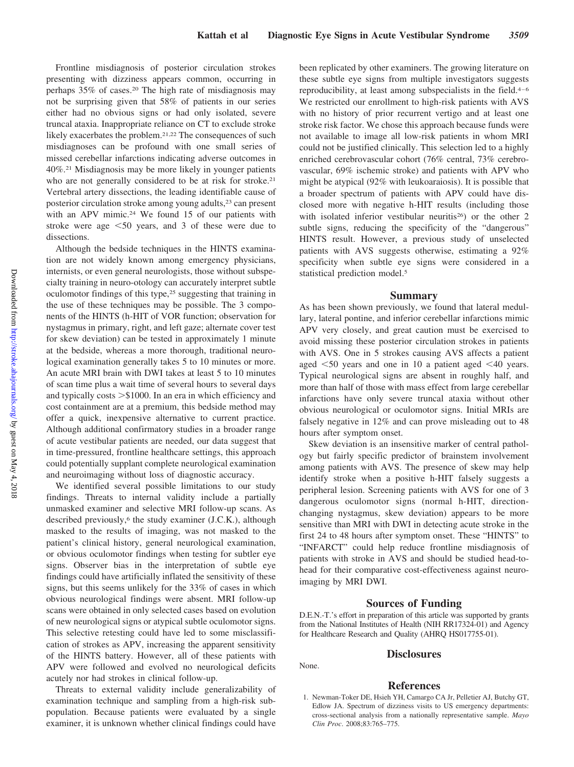Frontline misdiagnosis of posterior circulation strokes presenting with dizziness appears common, occurring in perhaps 35% of cases.20 The high rate of misdiagnosis may not be surprising given that 58% of patients in our series either had no obvious signs or had only isolated, severe truncal ataxia. Inappropriate reliance on CT to exclude stroke likely exacerbates the problem.21,22 The consequences of such misdiagnoses can be profound with one small series of missed cerebellar infarctions indicating adverse outcomes in 40%.21 Misdiagnosis may be more likely in younger patients who are not generally considered to be at risk for stroke.<sup>21</sup> Vertebral artery dissections, the leading identifiable cause of posterior circulation stroke among young adults,<sup>23</sup> can present with an APV mimic.<sup>24</sup> We found 15 of our patients with stroke were age 50 years, and 3 of these were due to dissections.

Although the bedside techniques in the HINTS examination are not widely known among emergency physicians, internists, or even general neurologists, those without subspecialty training in neuro-otology can accurately interpret subtle oculomotor findings of this type,25 suggesting that training in the use of these techniques may be possible. The 3 components of the HINTS (h-HIT of VOR function; observation for nystagmus in primary, right, and left gaze; alternate cover test for skew deviation) can be tested in approximately 1 minute at the bedside, whereas a more thorough, traditional neurological examination generally takes 5 to 10 minutes or more. An acute MRI brain with DWI takes at least 5 to 10 minutes of scan time plus a wait time of several hours to several days and typically costs  $> $1000$ . In an era in which efficiency and cost containment are at a premium, this bedside method may offer a quick, inexpensive alternative to current practice. Although additional confirmatory studies in a broader range of acute vestibular patients are needed, our data suggest that in time-pressured, frontline healthcare settings, this approach could potentially supplant complete neurological examination and neuroimaging without loss of diagnostic accuracy.

We identified several possible limitations to our study findings. Threats to internal validity include a partially unmasked examiner and selective MRI follow-up scans. As described previously,<sup>6</sup> the study examiner (J.C.K.), although masked to the results of imaging, was not masked to the patient's clinical history, general neurological examination, or obvious oculomotor findings when testing for subtler eye signs. Observer bias in the interpretation of subtle eye findings could have artificially inflated the sensitivity of these signs, but this seems unlikely for the 33% of cases in which obvious neurological findings were absent. MRI follow-up scans were obtained in only selected cases based on evolution of new neurological signs or atypical subtle oculomotor signs. This selective retesting could have led to some misclassification of strokes as APV, increasing the apparent sensitivity of the HINTS battery. However, all of these patients with APV were followed and evolved no neurological deficits acutely nor had strokes in clinical follow-up.

Threats to external validity include generalizability of examination technique and sampling from a high-risk subpopulation. Because patients were evaluated by a single examiner, it is unknown whether clinical findings could have been replicated by other examiners. The growing literature on these subtle eye signs from multiple investigators suggests reproducibility, at least among subspecialists in the field.4–6 We restricted our enrollment to high-risk patients with AVS with no history of prior recurrent vertigo and at least one stroke risk factor. We chose this approach because funds were not available to image all low-risk patients in whom MRI could not be justified clinically. This selection led to a highly enriched cerebrovascular cohort (76% central, 73% cerebrovascular, 69% ischemic stroke) and patients with APV who might be atypical (92% with leukoaraiosis). It is possible that a broader spectrum of patients with APV could have disclosed more with negative h-HIT results (including those with isolated inferior vestibular neuritis<sup>26</sup>) or the other 2 subtle signs, reducing the specificity of the "dangerous" HINTS result. However, a previous study of unselected patients with AVS suggests otherwise, estimating a 92% specificity when subtle eye signs were considered in a statistical prediction model.<sup>5</sup>

#### **Summary**

As has been shown previously, we found that lateral medullary, lateral pontine, and inferior cerebellar infarctions mimic APV very closely, and great caution must be exercised to avoid missing these posterior circulation strokes in patients with AVS. One in 5 strokes causing AVS affects a patient aged  $\leq 50$  years and one in 10 a patient aged  $\leq 40$  years. Typical neurological signs are absent in roughly half, and more than half of those with mass effect from large cerebellar infarctions have only severe truncal ataxia without other obvious neurological or oculomotor signs. Initial MRIs are falsely negative in 12% and can prove misleading out to 48 hours after symptom onset.

Skew deviation is an insensitive marker of central pathology but fairly specific predictor of brainstem involvement among patients with AVS. The presence of skew may help identify stroke when a positive h-HIT falsely suggests a peripheral lesion. Screening patients with AVS for one of 3 dangerous oculomotor signs (normal h-HIT, directionchanging nystagmus, skew deviation) appears to be more sensitive than MRI with DWI in detecting acute stroke in the first 24 to 48 hours after symptom onset. These "HINTS" to "INFARCT" could help reduce frontline misdiagnosis of patients with stroke in AVS and should be studied head-tohead for their comparative cost-effectiveness against neuroimaging by MRI DWI.

#### **Sources of Funding**

D.E.N.-T.'s effort in preparation of this article was supported by grants from the National Institutes of Health (NIH RR17324-01) and Agency for Healthcare Research and Quality (AHRQ HS017755-01).

#### **Disclosures**

# **References**

None.

1. Newman-Toker DE, Hsieh YH, Camargo CA Jr, Pelletier AJ, Butchy GT, Edlow JA. Spectrum of dizziness visits to US emergency departments: cross-sectional analysis from a nationally representative sample. *Mayo Clin Proc*. 2008;83:765–775.